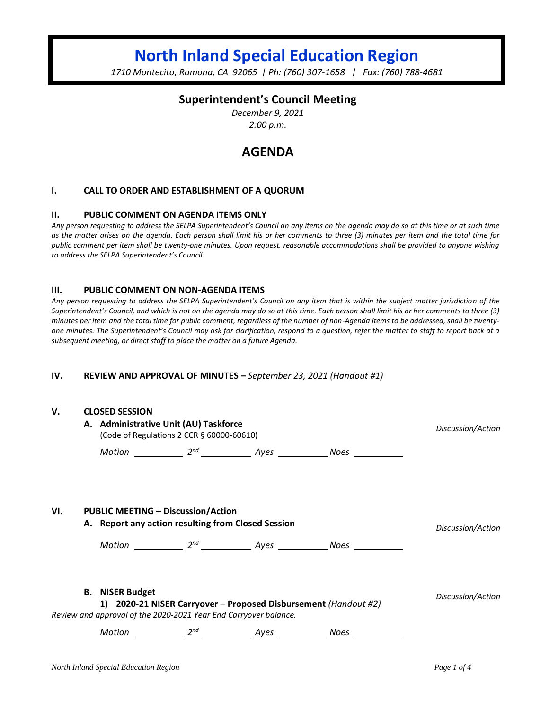# **North Inland Special Education Region**

*1710 Montecito, Ramona, CA 92065 | Ph: (760) 307-1658 | Fax: (760) 788-4681*

## **Superintendent's Council Meeting**

*December 9, 2021 2:00 p.m.*

# **AGENDA**

#### **I. CALL TO ORDER AND ESTABLISHMENT OF A QUORUM**

#### **II. PUBLIC COMMENT ON AGENDA ITEMS ONLY**

*Any person requesting to address the SELPA Superintendent's Council an any items on the agenda may do so at this time or at such time as the matter arises on the agenda. Each person shall limit his or her comments to three (3) minutes per item and the total time for public comment per item shall be twenty-one minutes. Upon request, reasonable accommodations shall be provided to anyone wishing to address the SELPA Superintendent's Council.*

#### **III. PUBLIC COMMENT ON NON-AGENDA ITEMS**

*Any person requesting to address the SELPA Superintendent's Council on any item that is within the subject matter jurisdiction of the Superintendent's Council, and which is not on the agenda may do so at this time. Each person shall limit his or her comments to three (3) minutes per item and the total time for public comment, regardless of the number of non-Agenda items to be addressed, shall be twentyone minutes. The Superintendent's Council may ask for clarification, respond to a question, refer the matter to staff to report back at a subsequent meeting, or direct staff to place the matter on a future Agenda.*

#### **IV. REVIEW AND APPROVAL OF MINUTES –** *September 23, 2021 (Handout #1)*

| V.                                                               | <b>CLOSED SESSION</b><br>A. Administrative Unit (AU) Taskforce<br>(Code of Regulations 2 CCR § 60000-60610)                                                                                                                                                                                                                                                                                                                                                                                                                                 | Discussion/Action |                                                            |  |
|------------------------------------------------------------------|---------------------------------------------------------------------------------------------------------------------------------------------------------------------------------------------------------------------------------------------------------------------------------------------------------------------------------------------------------------------------------------------------------------------------------------------------------------------------------------------------------------------------------------------|-------------------|------------------------------------------------------------|--|
|                                                                  |                                                                                                                                                                                                                                                                                                                                                                                                                                                                                                                                             |                   |                                                            |  |
| VI.                                                              | <b>PUBLIC MEETING - Discussion/Action</b><br>A. Report any action resulting from Closed Session<br>$Motion$ $2^{nd}$ $\overline{\phantom{2}7^{nd}}$ $\overline{\phantom{2}7^{nd}}$ $\overline{\phantom{2}7^{nd}}$ $\overline{\phantom{2}7^{nd}}$ $\overline{\phantom{2}7^{nd}}$ $\overline{\phantom{2}7^{nd}}$ $\overline{\phantom{2}7^{nd}}$ $\overline{\phantom{2}7^{nd}}$ $\overline{\phantom{2}7^{nd}}$ $\overline{\phantom{2}7^{nd}}$ $\overline{\phantom{2}7^{nd}}$ $\overline{\phantom{2}7^{nd}}$ $\overline{\phantom{2}7^{nd}}$ $\$ | Discussion/Action |                                                            |  |
| Review and approval of the 2020-2021 Year End Carryover balance. | Discussion/Action                                                                                                                                                                                                                                                                                                                                                                                                                                                                                                                           |                   |                                                            |  |
|                                                                  |                                                                                                                                                                                                                                                                                                                                                                                                                                                                                                                                             |                   | Motion 2 <sup>nd</sup> 2 <sup>nd</sup> Ayes 2008 Noes 2008 |  |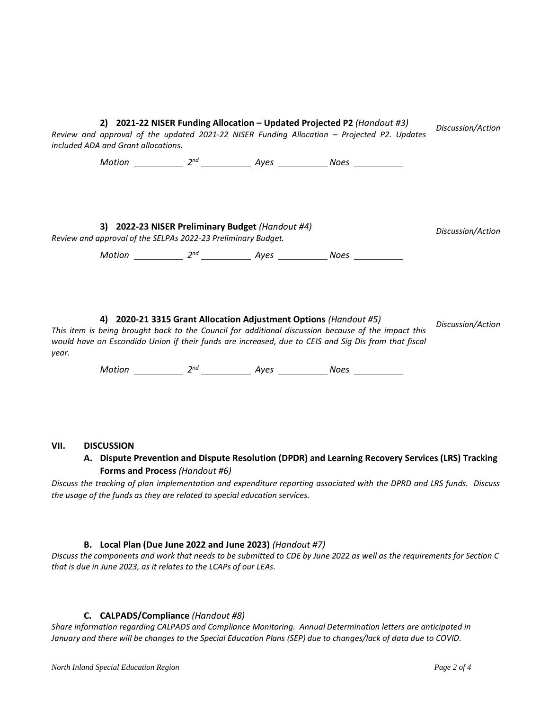| Review and approval of the updated 2021-22 NISER Funding Allocation - Projected P2. Updates<br>included ADA and Grant allocations.                                                                                   | Discussion/Action                                     |  |  |  |
|----------------------------------------------------------------------------------------------------------------------------------------------------------------------------------------------------------------------|-------------------------------------------------------|--|--|--|
|                                                                                                                                                                                                                      |                                                       |  |  |  |
|                                                                                                                                                                                                                      |                                                       |  |  |  |
|                                                                                                                                                                                                                      | 3) 2022-23 NISER Preliminary Budget (Handout #4)      |  |  |  |
| Review and approval of the SELPAs 2022-23 Preliminary Budget.                                                                                                                                                        | Discussion/Action                                     |  |  |  |
|                                                                                                                                                                                                                      |                                                       |  |  |  |
|                                                                                                                                                                                                                      |                                                       |  |  |  |
|                                                                                                                                                                                                                      |                                                       |  |  |  |
| This item is being brought back to the Council for additional discussion because of the impact this<br>would have on Escondido Union if their funds are increased, due to CEIS and Sig Dis from that fiscal<br>year. | Discussion/Action                                     |  |  |  |
|                                                                                                                                                                                                                      | Motion 2 <sup>nd</sup> 2 <sup>nd</sup> Ayes 2008 Noes |  |  |  |
|                                                                                                                                                                                                                      |                                                       |  |  |  |

#### **VII. DISCUSSION**

### **A. Dispute Prevention and Dispute Resolution (DPDR) and Learning Recovery Services (LRS) Tracking Forms and Process** *(Handout #6)*

*Discuss the tracking of plan implementation and expenditure reporting associated with the DPRD and LRS funds. Discuss the usage of the funds as they are related to special education services.*

#### **B. Local Plan (Due June 2022 and June 2023)** *(Handout #7)*

*Discuss the components and work that needs to be submitted to CDE by June 2022 as well as the requirements for Section C that is due in June 2023, as it relates to the LCAPs of our LEAs.*

#### **C. CALPADS/Compliance** *(Handout #8)*

*Share information regarding CALPADS and Compliance Monitoring. Annual Determination letters are anticipated in January and there will be changes to the Special Education Plans (SEP) due to changes/lack of data due to COVID.*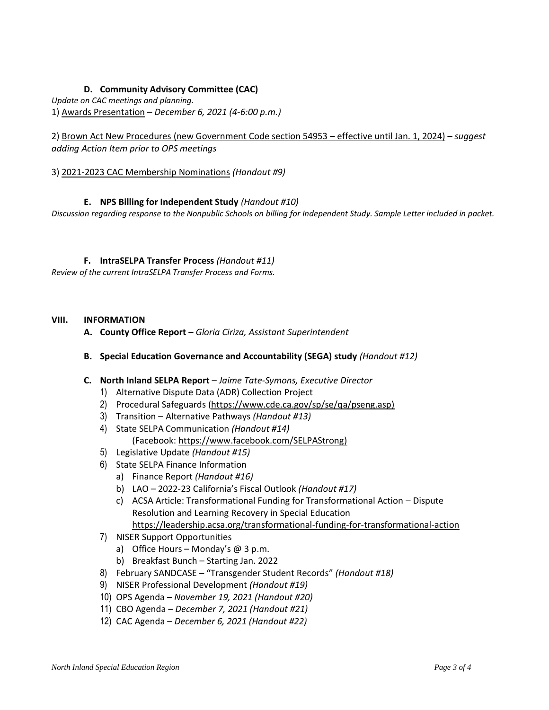### **D. Community Advisory Committee (CAC)**

*Update on CAC meetings and planning.*

1) Awards Presentation – *December 6, 2021 (4-6:00 p.m.)*

2) Brown Act New Procedures (new Government Code section 54953 – effective until Jan. 1, 2024) *– suggest adding Action Item prior to OPS meetings*

3) 2021-2023 CAC Membership Nominations *(Handout #9)*

#### **E. NPS Billing for Independent Study** *(Handout #10)*

*Discussion regarding response to the Nonpublic Schools on billing for Independent Study. Sample Letter included in packet.*

#### **F. IntraSELPA Transfer Process** *(Handout #11)*

*Review of the current IntraSELPA Transfer Process and Forms.*

#### **VIII. INFORMATION**

**A. County Office Report** – *Gloria Ciriza, Assistant Superintendent*

#### **B. Special Education Governance and Accountability (SEGA) study** *(Handout #12)*

#### **C. North Inland SELPA Report** – *Jaime Tate-Symons, Executive Director*

- 1) Alternative Dispute Data (ADR) Collection Project
- 2) Procedural Safeguards [\(https://www.cde.ca.gov/sp/se/qa/pseng.asp\)](https://www.cde.ca.gov/sp/se/qa/pseng.asp)
- 3) Transition Alternative Pathways *(Handout #13)*
- 4) State SELPA Communication *(Handout #14)* (Facebook: [https://www.facebook.com/SELPAStrong\)](https://nam04.safelinks.protection.outlook.com/?url=https%3A%2F%2Fwww.facebook.com%2FSELPAStrong&data=04%7C01%7Cjtate%40sdcoe.net%7C2638ec1ec274450426e208d9627f4e93%7Cfd6cc79e7b6944d0b8cdaf4a102bd0d6%7C1%7C1%7C637649121207513018%7CUnknown%7CTWFpbGZsb3d8eyJWIjoiMC4wLjAwMDAiLCJQIjoiV2luMzIiLCJBTiI6Ik1haWwiLCJXVCI6Mn0%3D%7C0&sdata=mqeTaKXuUt3LuUvATMRingZKvrWyMcand%2FMXwH%2FHqkE%3D&reserved=0)
- 5) Legislative Update *(Handout #15)*
- 6) State SELPA Finance Information
	- a) Finance Report *(Handout #16)*
	- b) LAO 2022-23 California's Fiscal Outlook *(Handout #17)*
	- c) ACSA Article: Transformational Funding for Transformational Action Dispute Resolution and Learning Recovery in Special Education <https://leadership.acsa.org/transformational-funding-for-transformational-action>
- 7) NISER Support Opportunities
	- a) Office Hours Monday's  $@$  3 p.m.
	- b) Breakfast Bunch Starting Jan. 2022
- 8) February SANDCASE "Transgender Student Records" *(Handout #18)*
- 9) NISER Professional Development *(Handout #19)*
- 10) OPS Agenda *– November 19, 2021 (Handout #20)*
- 11) CBO Agenda *– December 7, 2021 (Handout #21)*
- 12) CAC Agenda *December 6, 2021 (Handout #22)*